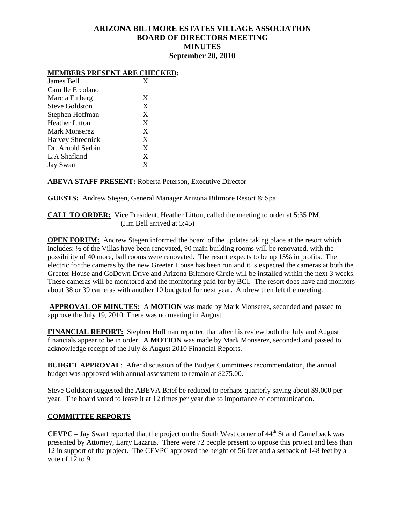# **ARIZONA BILTMORE ESTATES VILLAGE ASSOCIATION BOARD OF DIRECTORS MEETING MINUTES September 20, 2010**

### **MEMBERS PRESENT ARE CHECKED:**

| James Bell              | X |
|-------------------------|---|
| Camille Ercolano        |   |
| Marcia Finberg          | X |
| Steve Goldston          | X |
| Stephen Hoffman         | X |
| <b>Heather Litton</b>   | X |
| Mark Monserez           | X |
| <b>Harvey Shrednick</b> | X |
| Dr. Arnold Serbin       | X |
| L.A Shafkind            | X |
| <b>Jay Swart</b>        | X |

# **ABEVA STAFF PRESENT:** Roberta Peterson, Executive Director

**GUESTS:** Andrew Stegen, General Manager Arizona Biltmore Resort & Spa

**CALL TO ORDER:** Vice President, Heather Litton, called the meeting to order at 5:35 PM. (Jim Bell arrived at 5:45)

**OPEN FORUM:** Andrew Stegen informed the board of the updates taking place at the resort which includes: ½ of the Villas have been renovated, 90 main building rooms will be renovated, with the possibility of 40 more, ball rooms were renovated. The resort expects to be up 15% in profits. The electric for the cameras by the new Greeter House has been run and it is expected the cameras at both the Greeter House and GoDown Drive and Arizona Biltmore Circle will be installed within the next 3 weeks. These cameras will be monitored and the monitoring paid for by BCI. The resort does have and monitors about 38 or 39 cameras with another 10 budgeted for next year. Andrew then left the meeting.

**APPROVAL OF MINUTES:** A **MOTION** was made by Mark Monserez, seconded and passed to approve the July 19, 2010. There was no meeting in August.

**FINANCIAL REPORT:** Stephen Hoffman reported that after his review both the July and August financials appear to be in order. A **MOTION** was made by Mark Monserez, seconded and passed to acknowledge receipt of the July & August 2010 Financial Reports.

**BUDGET APPROVAL:** After discussion of the Budget Committees recommendation, the annual budget was approved with annual assessment to remain at \$275.00.

Steve Goldston suggested the ABEVA Brief be reduced to perhaps quarterly saving about \$9,000 per year. The board voted to leave it at 12 times per year due to importance of communication.

### **COMMITTEE REPORTS**

**CEVPC** – Jay Swart reported that the project on the South West corner of 44<sup>th</sup> St and Camelback was presented by Attorney, Larry Lazarus. There were 72 people present to oppose this project and less than 12 in support of the project. The CEVPC approved the height of 56 feet and a setback of 148 feet by a vote of 12 to 9.